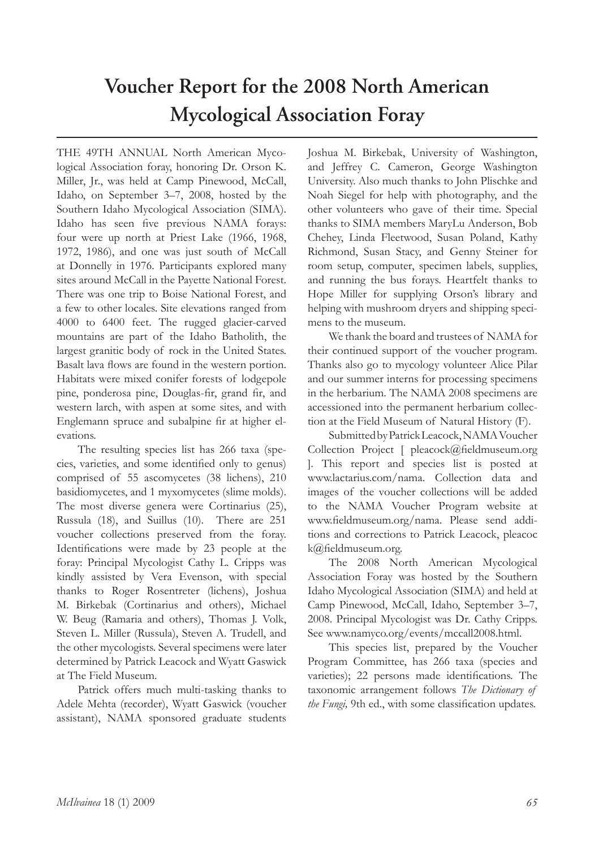## **Voucher Report for the 2008 North American Mycological Association Foray**

THE 49TH ANNUAL North American Mycological Association foray, honoring Dr. Orson K. Miller, Jr., was held at Camp Pinewood, McCall, Idaho, on September 3–7, 2008, hosted by the Southern Idaho Mycological Association (SIMA). Idaho has seen five previous NAMA forays: four were up north at Priest Lake (1966, 1968, 1972, 1986), and one was just south of McCall at Donnelly in 1976. Participants explored many sites around McCall in the Payette National Forest. There was one trip to Boise National Forest, and a few to other locales. Site elevations ranged from 4000 to 6400 feet. The rugged glacier-carved mountains are part of the Idaho Batholith, the largest granitic body of rock in the United States. Basalt lava flows are found in the western portion. Habitats were mixed conifer forests of lodgepole pine, ponderosa pine, Douglas-fir, grand fir, and western larch, with aspen at some sites, and with Englemann spruce and subalpine fir at higher elevations.

The resulting species list has 266 taxa (species, varieties, and some identified only to genus) comprised of 55 ascomycetes (38 lichens), 210 basidiomycetes, and 1 myxomycetes (slime molds). The most diverse genera were Cortinarius (25), Russula (18), and Suillus (10). There are 251 voucher collections preserved from the foray. Identifications were made by 23 people at the foray: Principal Mycologist Cathy L. Cripps was kindly assisted by Vera Evenson, with special thanks to Roger Rosentreter (lichens), Joshua M. Birkebak (Cortinarius and others), Michael W. Beug (Ramaria and others), Thomas J. Volk, Steven L. Miller (Russula), Steven A. Trudell, and the other mycologists. Several specimens were later determined by Patrick Leacock and Wyatt Gaswick at The Field Museum.

Patrick offers much multi-tasking thanks to Adele Mehta (recorder), Wyatt Gaswick (voucher assistant), NAMA sponsored graduate students Joshua M. Birkebak, University of Washington, and Jeffrey C. Cameron, George Washington University. Also much thanks to John Plischke and Noah Siegel for help with photography, and the other volunteers who gave of their time. Special thanks to SIMA members MaryLu Anderson, Bob Chehey, Linda Fleetwood, Susan Poland, Kathy Richmond, Susan Stacy, and Genny Steiner for room setup, computer, specimen labels, supplies, and running the bus forays. Heartfelt thanks to Hope Miller for supplying Orson's library and helping with mushroom dryers and shipping specimens to the museum.

We thank the board and trustees of NAMA for their continued support of the voucher program. Thanks also go to mycology volunteer Alice Pilar and our summer interns for processing specimens in the herbarium. The NAMA 2008 specimens are accessioned into the permanent herbarium collection at the Field Museum of Natural History (F).

Submitted by Patrick Leacock, NAMA Voucher Collection Project [ pleacock@fieldmuseum.org ]. This report and species list is posted at www.lactarius.com/nama. Collection data and images of the voucher collections will be added to the NAMA Voucher Program website at www.fieldmuseum.org/nama. Please send additions and corrections to Patrick Leacock, pleacoc k@fieldmuseum.org.

The 2008 North American Mycological Association Foray was hosted by the Southern Idaho Mycological Association (SIMA) and held at Camp Pinewood, McCall, Idaho, September 3–7, 2008. Principal Mycologist was Dr. Cathy Cripps. See www.namyco.org/events/mccall2008.html.

This species list, prepared by the Voucher Program Committee, has 266 taxa (species and varieties); 22 persons made identifications. The taxonomic arrangement follows *The Dictionary of the Fungi,* 9th ed., with some classification updates.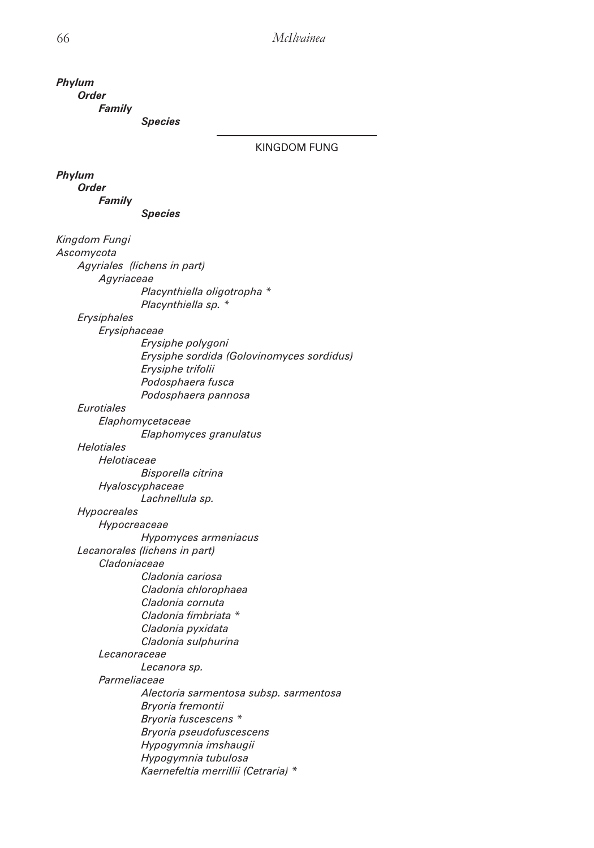*Family Species* KINGDOM FUNG *Phylum Order Family Species Kingdom Fungi Ascomycota Agyriales (lichens in part) Agyriaceae Placynthiella oligotropha \* Placynthiella sp. \* Erysiphales Erysiphaceae Erysiphe polygoni Erysiphe sordida (Golovinomyces sordidus) Erysiphe trifolii Podosphaera fusca Podosphaera pannosa Eurotiales Elaphomycetaceae Elaphomyces granulatus Helotiales Helotiaceae Bisporella citrina Hyaloscyphaceae Lachnellula sp. Hypocreales Hypocreaceae Hypomyces armeniacus Lecanorales (lichens in part) Cladoniaceae Cladonia cariosa Cladonia chlorophaea Cladonia cornuta Cladonia fimbriata \* Cladonia pyxidata Cladonia sulphurina Lecanoraceae Lecanora sp. Parmeliaceae Alectoria sarmentosa subsp. sarmentosa Bryoria fremontii Bryoria fuscescens \* Bryoria pseudofuscescens Hypogymnia imshaugii Hypogymnia tubulosa Kaernefeltia merrillii (Cetraria) \**

*Phylum Order*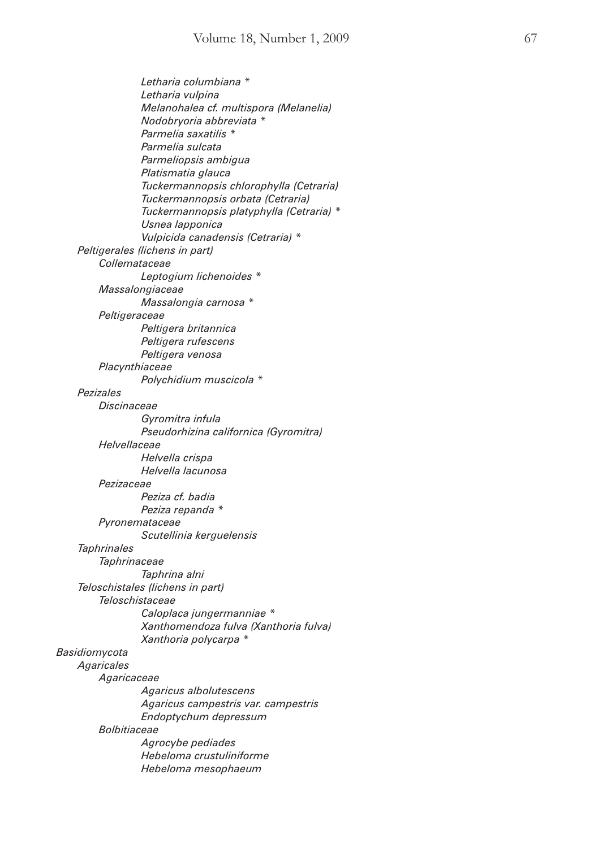*Letharia columbiana \* Letharia vulpina Melanohalea cf. multispora (Melanelia) Nodobryoria abbreviata \* Parmelia saxatilis \* Parmelia sulcata Parmeliopsis ambigua Platismatia glauca Tuckermannopsis chlorophylla (Cetraria) Tuckermannopsis orbata (Cetraria) Tuckermannopsis platyphylla (Cetraria) \* Usnea lapponica Vulpicida canadensis (Cetraria) \* Peltigerales (lichens in part) Collemataceae Leptogium lichenoides \* Massalongiaceae Massalongia carnosa \* Peltigeraceae Peltigera britannica Peltigera rufescens Peltigera venosa Placynthiaceae Polychidium muscicola \* Pezizales Discinaceae Gyromitra infula Pseudorhizina californica (Gyromitra) Helvellaceae Helvella crispa Helvella lacunosa Pezizaceae Peziza cf. badia Peziza repanda \* Pyronemataceae Scutellinia kerguelensis Taphrinales Taphrinaceae Taphrina alni Teloschistales (lichens in part) Teloschistaceae Caloplaca jungermanniae \* Xanthomendoza fulva (Xanthoria fulva) Xanthoria polycarpa \* Basidiomycota Agaricales Agaricaceae Agaricus albolutescens Agaricus campestris var. campestris Endoptychum depressum Bolbitiaceae Agrocybe pediades Hebeloma crustuliniforme Hebeloma mesophaeum*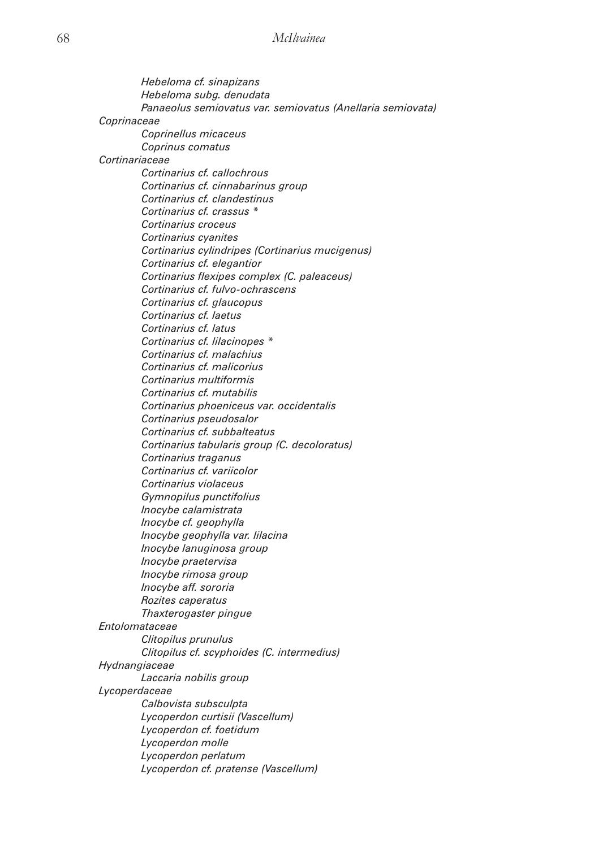*Hebeloma cf. sinapizans Hebeloma subg. denudata Panaeolus semiovatus var. semiovatus (Anellaria semiovata) Coprinaceae Coprinellus micaceus Coprinus comatus Cortinariaceae Cortinarius cf. callochrous Cortinarius cf. cinnabarinus group Cortinarius cf. clandestinus Cortinarius cf. crassus \* Cortinarius croceus Cortinarius cyanites Cortinarius cylindripes (Cortinarius mucigenus) Cortinarius cf. elegantior Cortinarius flexipes complex (C. paleaceus) Cortinarius cf. fulvo-ochrascens Cortinarius cf. glaucopus Cortinarius cf. laetus Cortinarius cf. latus Cortinarius cf. lilacinopes \* Cortinarius cf. malachius Cortinarius cf. malicorius Cortinarius multiformis Cortinarius cf. mutabilis Cortinarius phoeniceus var. occidentalis Cortinarius pseudosalor Cortinarius cf. subbalteatus Cortinarius tabularis group (C. decoloratus) Cortinarius traganus Cortinarius cf. variicolor Cortinarius violaceus Gymnopilus punctifolius Inocybe calamistrata Inocybe cf. geophylla Inocybe geophylla var. lilacina Inocybe lanuginosa group Inocybe praetervisa Inocybe rimosa group Inocybe aff. sororia Rozites caperatus Thaxterogaster pingue Entolomataceae Clitopilus prunulus Clitopilus cf. scyphoides (C. intermedius) Hydnangiaceae Laccaria nobilis group Lycoperdaceae Calbovista subsculpta Lycoperdon curtisii (Vascellum) Lycoperdon cf. foetidum Lycoperdon molle Lycoperdon perlatum Lycoperdon cf. pratense (Vascellum)*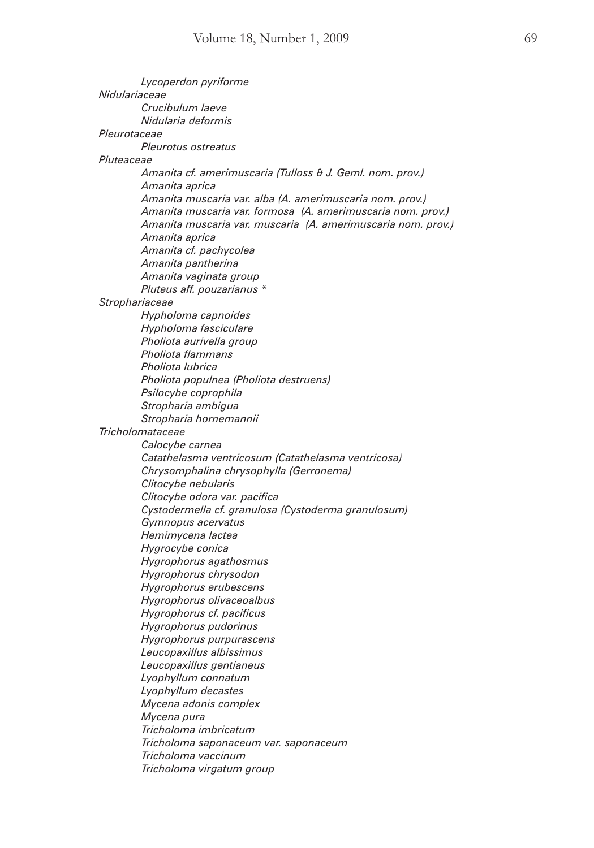*Lycoperdon pyriforme Nidulariaceae Crucibulum laeve Nidularia deformis Pleurotaceae Pleurotus ostreatus Pluteaceae Amanita cf. amerimuscaria (Tulloss & J. Geml. nom. prov.) Amanita aprica Amanita muscaria var. alba (A. amerimuscaria nom. prov.) Amanita muscaria var. formosa (A. amerimuscaria nom. prov.) Amanita muscaria var. muscaria (A. amerimuscaria nom. prov.) Amanita aprica Amanita cf. pachycolea Amanita pantherina Amanita vaginata group Pluteus aff. pouzarianus \* Strophariaceae Hypholoma capnoides Hypholoma fasciculare Pholiota aurivella group Pholiota flammans Pholiota lubrica Pholiota populnea (Pholiota destruens) Psilocybe coprophila Stropharia ambigua Stropharia hornemannii Tricholomataceae Calocybe carnea Catathelasma ventricosum (Catathelasma ventricosa) Chrysomphalina chrysophylla (Gerronema) Clitocybe nebularis Clitocybe odora var. pacifica Cystodermella cf. granulosa (Cystoderma granulosum) Gymnopus acervatus Hemimycena lactea Hygrocybe conica Hygrophorus agathosmus Hygrophorus chrysodon Hygrophorus erubescens Hygrophorus olivaceoalbus Hygrophorus cf. pacificus Hygrophorus pudorinus Hygrophorus purpurascens Leucopaxillus albissimus Leucopaxillus gentianeus Lyophyllum connatum Lyophyllum decastes Mycena adonis complex Mycena pura Tricholoma imbricatum Tricholoma saponaceum var. saponaceum Tricholoma vaccinum Tricholoma virgatum group*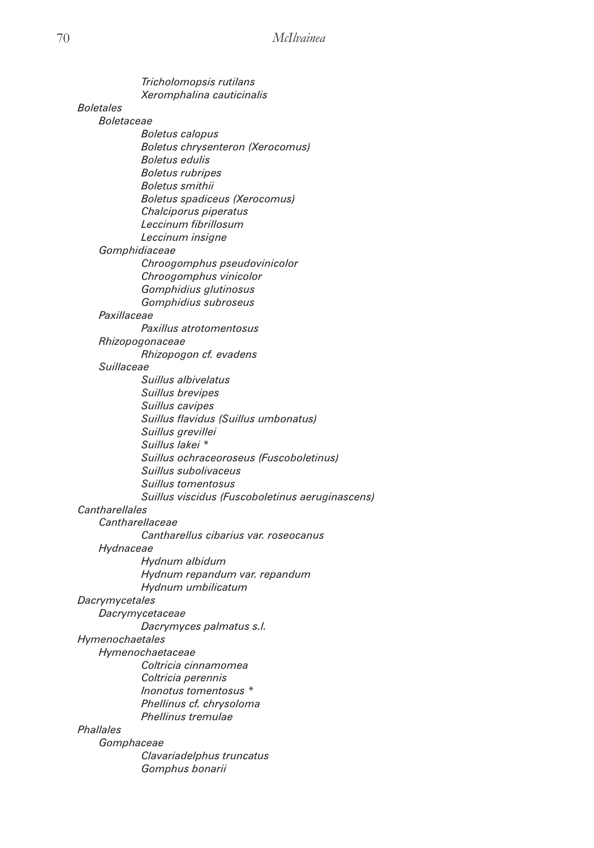|                         | Tricholomopsis rutilans                         |
|-------------------------|-------------------------------------------------|
|                         | Xeromphalina cauticinalis                       |
| <i><b>Boletales</b></i> |                                                 |
| <i>Boletaceae</i>       |                                                 |
|                         | <b>Boletus calopus</b>                          |
|                         | <b>Boletus chrysenteron (Xerocomus)</b>         |
|                         | <b>Boletus edulis</b>                           |
|                         | <b>Boletus rubripes</b>                         |
|                         | <b>Boletus</b> smithii                          |
|                         | <b>Boletus spadiceus (Xerocomus)</b>            |
|                         | Chalciporus piperatus                           |
|                         | Leccinum fibrillosum                            |
|                         | Leccinum insigne                                |
|                         | Gomphidiaceae                                   |
|                         | Chroogomphus pseudovinicolor                    |
|                         | Chroogomphus vinicolor                          |
|                         | Gomphidius glutinosus                           |
|                         | Gomphidius subroseus                            |
| Paxillaceae             |                                                 |
|                         | Paxillus atrotomentosus                         |
|                         | Rhizopogonaceae                                 |
|                         | Rhizopogon cf. evadens                          |
| Suillaceae              |                                                 |
|                         | Suillus albivelatus                             |
|                         | Suillus brevipes                                |
|                         | Suillus cavipes                                 |
|                         | Suillus flavidus (Suillus umbonatus)            |
|                         | Suillus grevillei                               |
|                         | Suillus lakei *                                 |
|                         | Suillus ochraceoroseus (Fuscoboletinus)         |
|                         | Suillus subolivaceus                            |
|                         | Suillus tomentosus                              |
|                         | Suillus viscidus (Fuscoboletinus aeruginascens) |
| Cantharellales          |                                                 |
|                         | Cantharellaceae                                 |
|                         | Cantharellus cibarius var. roseocanus           |
| Hydnaceae               |                                                 |
|                         | Hydnum albidum                                  |
|                         | Hydnum repandum var. repandum                   |
|                         | Hydnum umbilicatum                              |
| Dacrymycetales          |                                                 |
|                         | Dacrymycetaceae                                 |
|                         | Dacrymyces palmatus s.l.                        |
| Hymenochaetales         |                                                 |
|                         | Hymenochaetaceae                                |
|                         | Coltricia cinnamomea                            |
|                         | Coltricia perennis                              |
|                         | Inonotus tomentosus *                           |
|                         | Phellinus cf. chrysoloma                        |
|                         | Phellinus tremulae                              |
| Phallales               |                                                 |
|                         | Gomphaceae                                      |
|                         | Clavariadelphus truncatus                       |
|                         | Gomphus bonarii                                 |
|                         |                                                 |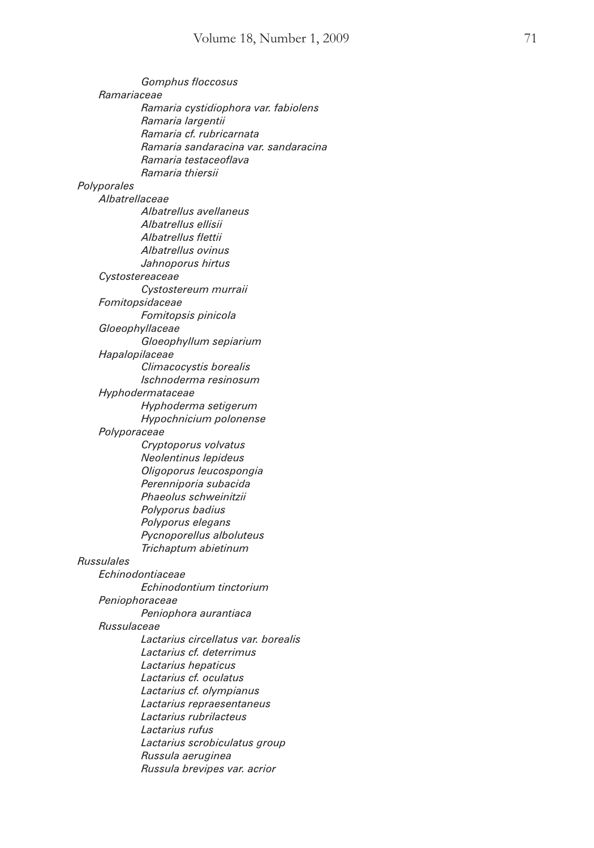|             | Gomphus floccosus                    |
|-------------|--------------------------------------|
|             | Ramariaceae                          |
|             | Ramaria cystidiophora var. fabiolens |
|             | Ramaria largentii                    |
|             | Ramaria cf. rubricarnata             |
|             | Ramaria sandaracina var. sandaracina |
|             | Ramaria testaceoflava                |
|             | Ramaria thiersii                     |
| Polyporales |                                      |
|             | Albatrellaceae                       |
|             | Albatrellus avellaneus               |
|             | Albatrellus ellisii                  |
|             | Albatrellus flettii                  |
|             | Albatrellus ovinus                   |
|             | Jahnoporus hirtus                    |
|             | Cystostereaceae                      |
|             | Cystostereum murraii                 |
|             | Fomitopsidaceae                      |
|             | Fomitopsis pinicola                  |
|             | Gloeophyllaceae                      |
|             | Gloeophyllum sepiarium               |
|             | Hapalopilaceae                       |
|             | Climacocystis borealis               |
|             | Ischnoderma resinosum                |
|             | Hyphodermataceae                     |
|             | Hyphoderma setigerum                 |
|             | Hypochnicium polonense               |
|             | Polyporaceae                         |
|             | Cryptoporus volvatus                 |
|             | Neolentinus lepideus                 |
|             | Oligoporus leucospongia              |
|             | Perenniporia subacida                |
|             | Phaeolus schweinitzii                |
|             | Polyporus badius                     |
|             |                                      |
|             | Polyporus elegans                    |
|             | Pycnoporellus alboluteus             |
| Russulales  | Trichaptum abietinum                 |
|             |                                      |
|             | Echinodontiaceae                     |
|             | Echinodontium tinctorium             |
|             | Peniophoraceae                       |
|             | Peniophora aurantiaca                |
|             | Russulaceae                          |
|             | Lactarius circellatus var. borealis  |
|             | Lactarius cf. deterrimus             |
|             | Lactarius hepaticus                  |
|             | Lactarius cf. oculatus               |
|             | Lactarius cf. olympianus             |
|             | Lactarius repraesentaneus            |
|             | Lactarius rubrilacteus               |
|             | Lactarius rufus                      |
|             | Lactarius scrobiculatus group        |
|             | Russula aeruginea                    |
|             | Russula brevipes var. acrior         |
|             |                                      |